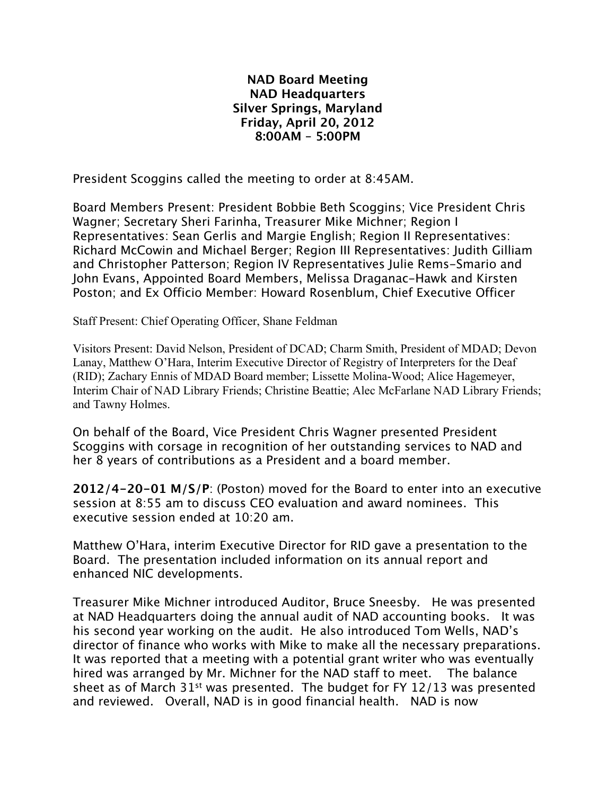## **NAD Board Meeting NAD Headquarters Silver Springs, Maryland Friday, April 20, 2012 8:00AM – 5:00PM**

President Scoggins called the meeting to order at 8:45AM.

Board Members Present: President Bobbie Beth Scoggins; Vice President Chris Wagner; Secretary Sheri Farinha, Treasurer Mike Michner; Region I Representatives: Sean Gerlis and Margie English; Region II Representatives: Richard McCowin and Michael Berger; Region III Representatives: Judith Gilliam and Christopher Patterson; Region IV Representatives Julie Rems-Smario and John Evans, Appointed Board Members, Melissa Draganac-Hawk and Kirsten Poston; and Ex Officio Member: Howard Rosenblum, Chief Executive Officer

Staff Present: Chief Operating Officer, Shane Feldman

Visitors Present: David Nelson, President of DCAD; Charm Smith, President of MDAD; Devon Lanay, Matthew O'Hara, Interim Executive Director of Registry of Interpreters for the Deaf (RID); Zachary Ennis of MDAD Board member; Lissette Molina-Wood; Alice Hagemeyer, Interim Chair of NAD Library Friends; Christine Beattie; Alec McFarlane NAD Library Friends; and Tawny Holmes.

On behalf of the Board, Vice President Chris Wagner presented President Scoggins with corsage in recognition of her outstanding services to NAD and her 8 years of contributions as a President and a board member.

**2012/4-20-01 M/S/P**: (Poston) moved for the Board to enter into an executive session at 8:55 am to discuss CEO evaluation and award nominees. This executive session ended at 10:20 am.

Matthew O'Hara, interim Executive Director for RID gave a presentation to the Board. The presentation included information on its annual report and enhanced NIC developments.

Treasurer Mike Michner introduced Auditor, Bruce Sneesby. He was presented at NAD Headquarters doing the annual audit of NAD accounting books. It was his second year working on the audit. He also introduced Tom Wells, NAD's director of finance who works with Mike to make all the necessary preparations. It was reported that a meeting with a potential grant writer who was eventually hired was arranged by Mr. Michner for the NAD staff to meet. The balance sheet as of March  $31^{st}$  was presented. The budget for FY 12/13 was presented and reviewed. Overall, NAD is in good financial health. NAD is now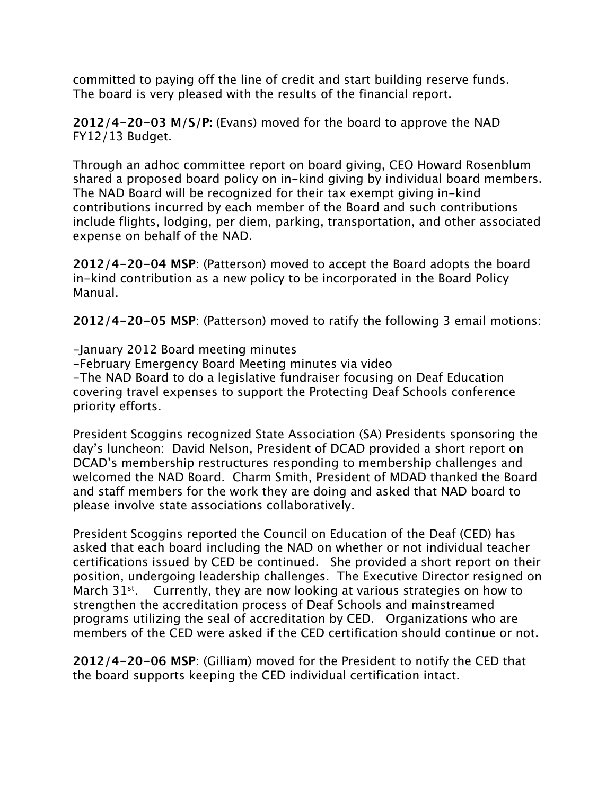committed to paying off the line of credit and start building reserve funds. The board is very pleased with the results of the financial report.

**2012/4-20-03 M/S/P:** (Evans) moved for the board to approve the NAD FY12/13 Budget.

Through an adhoc committee report on board giving, CEO Howard Rosenblum shared a proposed board policy on in-kind giving by individual board members. The NAD Board will be recognized for their tax exempt giving in-kind contributions incurred by each member of the Board and such contributions include flights, lodging, per diem, parking, transportation, and other associated expense on behalf of the NAD.

**2012/4-20-04 MSP**: (Patterson) moved to accept the Board adopts the board in-kind contribution as a new policy to be incorporated in the Board Policy Manual.

**2012/4-20-05 MSP**: (Patterson) moved to ratify the following 3 email motions:

-January 2012 Board meeting minutes -February Emergency Board Meeting minutes via video -The NAD Board to do a legislative fundraiser focusing on Deaf Education covering travel expenses to support the Protecting Deaf Schools conference priority efforts.

President Scoggins recognized State Association (SA) Presidents sponsoring the day's luncheon: David Nelson, President of DCAD provided a short report on DCAD's membership restructures responding to membership challenges and welcomed the NAD Board. Charm Smith, President of MDAD thanked the Board and staff members for the work they are doing and asked that NAD board to please involve state associations collaboratively.

President Scoggins reported the Council on Education of the Deaf (CED) has asked that each board including the NAD on whether or not individual teacher certifications issued by CED be continued. She provided a short report on their position, undergoing leadership challenges. The Executive Director resigned on March 31<sup>st</sup>. Currently, they are now looking at various strategies on how to strengthen the accreditation process of Deaf Schools and mainstreamed programs utilizing the seal of accreditation by CED. Organizations who are members of the CED were asked if the CED certification should continue or not.

**2012/4-20-06 MSP**: (Gilliam) moved for the President to notify the CED that the board supports keeping the CED individual certification intact.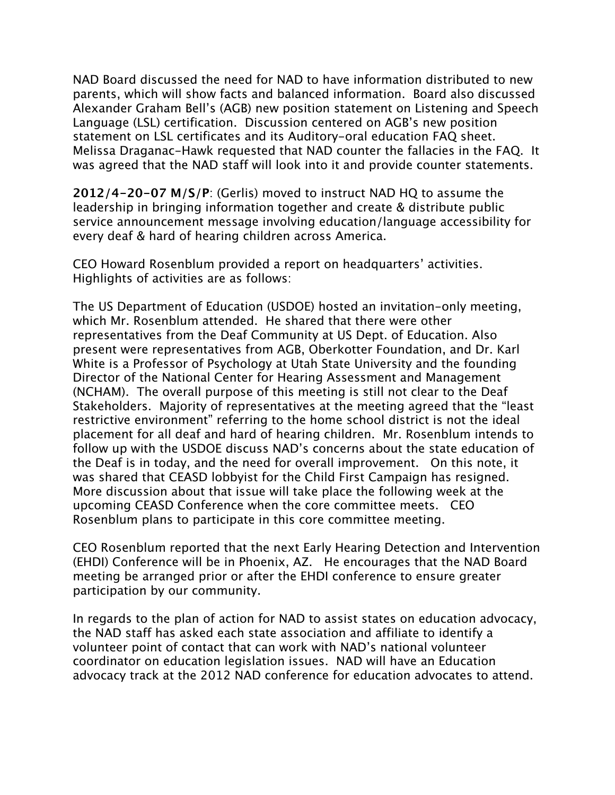NAD Board discussed the need for NAD to have information distributed to new parents, which will show facts and balanced information. Board also discussed Alexander Graham Bell's (AGB) new position statement on Listening and Speech Language (LSL) certification. Discussion centered on AGB's new position statement on LSL certificates and its Auditory-oral education FAQ sheet. Melissa Draganac-Hawk requested that NAD counter the fallacies in the FAQ. It was agreed that the NAD staff will look into it and provide counter statements.

**2012/4-20-07 M/S/P**: (Gerlis) moved to instruct NAD HQ to assume the leadership in bringing information together and create & distribute public service announcement message involving education/language accessibility for every deaf & hard of hearing children across America.

CEO Howard Rosenblum provided a report on headquarters' activities. Highlights of activities are as follows:

The US Department of Education (USDOE) hosted an invitation-only meeting, which Mr. Rosenblum attended. He shared that there were other representatives from the Deaf Community at US Dept. of Education. Also present were representatives from AGB, Oberkotter Foundation, and Dr. Karl White is a Professor of Psychology at Utah State University and the founding Director of the National Center for Hearing Assessment and Management (NCHAM). The overall purpose of this meeting is still not clear to the Deaf Stakeholders. Majority of representatives at the meeting agreed that the "least restrictive environment" referring to the home school district is not the ideal placement for all deaf and hard of hearing children. Mr. Rosenblum intends to follow up with the USDOE discuss NAD's concerns about the state education of the Deaf is in today, and the need for overall improvement. On this note, it was shared that CEASD lobbyist for the Child First Campaign has resigned. More discussion about that issue will take place the following week at the upcoming CEASD Conference when the core committee meets. CEO Rosenblum plans to participate in this core committee meeting.

CEO Rosenblum reported that the next Early Hearing Detection and Intervention (EHDI) Conference will be in Phoenix, AZ. He encourages that the NAD Board meeting be arranged prior or after the EHDI conference to ensure greater participation by our community.

In regards to the plan of action for NAD to assist states on education advocacy, the NAD staff has asked each state association and affiliate to identify a volunteer point of contact that can work with NAD's national volunteer coordinator on education legislation issues. NAD will have an Education advocacy track at the 2012 NAD conference for education advocates to attend.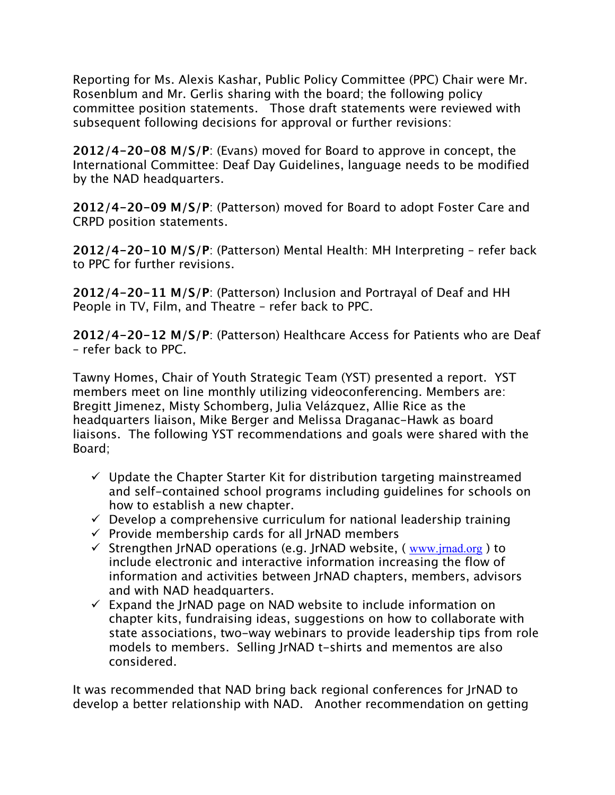Reporting for Ms. Alexis Kashar, Public Policy Committee (PPC) Chair were Mr. Rosenblum and Mr. Gerlis sharing with the board; the following policy committee position statements. Those draft statements were reviewed with subsequent following decisions for approval or further revisions:

**2012/4-20-08 M/S/P**: (Evans) moved for Board to approve in concept, the International Committee: Deaf Day Guidelines, language needs to be modified by the NAD headquarters.

**2012/4-20-09 M/S/P**: (Patterson) moved for Board to adopt Foster Care and CRPD position statements.

**2012/4-20-10 M/S/P**: (Patterson) Mental Health: MH Interpreting – refer back to PPC for further revisions.

**2012/4-20-11 M/S/P**: (Patterson) Inclusion and Portrayal of Deaf and HH People in TV, Film, and Theatre – refer back to PPC.

**2012/4-20-12 M/S/P**: (Patterson) Healthcare Access for Patients who are Deaf – refer back to PPC.

Tawny Homes, Chair of Youth Strategic Team (YST) presented a report. YST members meet on line monthly utilizing videoconferencing. Members are: Bregitt Jimenez, Misty Schomberg, Julia Velázquez, Allie Rice as the headquarters liaison, Mike Berger and Melissa Draganac-Hawk as board liaisons. The following YST recommendations and goals were shared with the Board;

- $\checkmark$  Update the Chapter Starter Kit for distribution targeting mainstreamed and self-contained school programs including guidelines for schools on how to establish a new chapter.
- $\checkmark$  Develop a comprehensive curriculum for national leadership training
- $\checkmark$  Provide membership cards for all JrNAD members
- $\checkmark$  Strengthen IrNAD operations (e.g. IrNAD website, ( www.jrnad.org ) to include electronic and interactive information increasing the flow of information and activities between JrNAD chapters, members, advisors and with NAD headquarters.
- $\checkmark$  Expand the JrNAD page on NAD website to include information on chapter kits, fundraising ideas, suggestions on how to collaborate with state associations, two-way webinars to provide leadership tips from role models to members. Selling JrNAD t-shirts and mementos are also considered.

It was recommended that NAD bring back regional conferences for JrNAD to develop a better relationship with NAD. Another recommendation on getting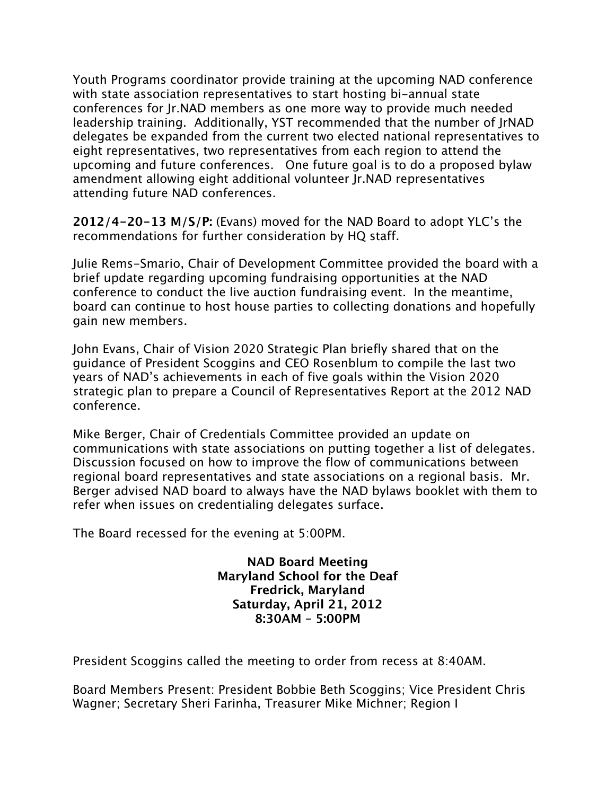Youth Programs coordinator provide training at the upcoming NAD conference with state association representatives to start hosting bi-annual state conferences for Jr.NAD members as one more way to provide much needed leadership training. Additionally, YST recommended that the number of JrNAD delegates be expanded from the current two elected national representatives to eight representatives, two representatives from each region to attend the upcoming and future conferences. One future goal is to do a proposed bylaw amendment allowing eight additional volunteer Jr.NAD representatives attending future NAD conferences.

**2012/4-20-13 M/S/P:** (Evans) moved for the NAD Board to adopt YLC's the recommendations for further consideration by HQ staff.

Julie Rems-Smario, Chair of Development Committee provided the board with a brief update regarding upcoming fundraising opportunities at the NAD conference to conduct the live auction fundraising event. In the meantime, board can continue to host house parties to collecting donations and hopefully gain new members.

John Evans, Chair of Vision 2020 Strategic Plan briefly shared that on the guidance of President Scoggins and CEO Rosenblum to compile the last two years of NAD's achievements in each of five goals within the Vision 2020 strategic plan to prepare a Council of Representatives Report at the 2012 NAD conference.

Mike Berger, Chair of Credentials Committee provided an update on communications with state associations on putting together a list of delegates. Discussion focused on how to improve the flow of communications between regional board representatives and state associations on a regional basis. Mr. Berger advised NAD board to always have the NAD bylaws booklet with them to refer when issues on credentialing delegates surface.

The Board recessed for the evening at 5:00PM.

**NAD Board Meeting Maryland School for the Deaf Fredrick, Maryland Saturday, April 21, 2012 8:30AM – 5:00PM**

President Scoggins called the meeting to order from recess at 8:40AM.

Board Members Present: President Bobbie Beth Scoggins; Vice President Chris Wagner; Secretary Sheri Farinha, Treasurer Mike Michner; Region I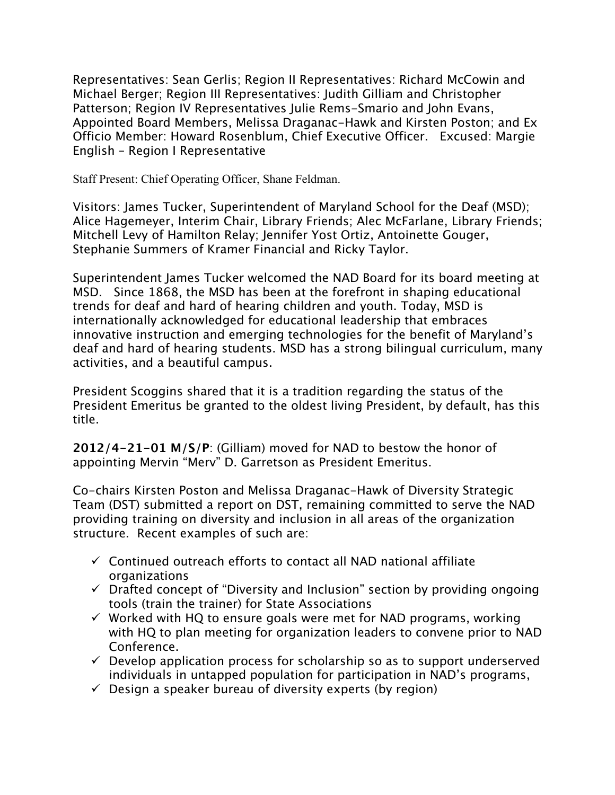Representatives: Sean Gerlis; Region II Representatives: Richard McCowin and Michael Berger; Region III Representatives: Judith Gilliam and Christopher Patterson; Region IV Representatives Julie Rems-Smario and John Evans, Appointed Board Members, Melissa Draganac-Hawk and Kirsten Poston; and Ex Officio Member: Howard Rosenblum, Chief Executive Officer. Excused: Margie English – Region I Representative

Staff Present: Chief Operating Officer, Shane Feldman.

Visitors: James Tucker, Superintendent of Maryland School for the Deaf (MSD); Alice Hagemeyer, Interim Chair, Library Friends; Alec McFarlane, Library Friends; Mitchell Levy of Hamilton Relay; Jennifer Yost Ortiz, Antoinette Gouger, Stephanie Summers of Kramer Financial and Ricky Taylor.

Superintendent James Tucker welcomed the NAD Board for its board meeting at MSD. Since 1868, the MSD has been at the forefront in shaping educational trends for deaf and hard of hearing children and youth. Today, MSD is internationally acknowledged for educational leadership that embraces innovative instruction and emerging technologies for the benefit of Maryland's deaf and hard of hearing students. MSD has a strong bilingual curriculum, many activities, and a beautiful campus.

President Scoggins shared that it is a tradition regarding the status of the President Emeritus be granted to the oldest living President, by default, has this title.

**2012/4-21-01 M/S/P**: (Gilliam) moved for NAD to bestow the honor of appointing Mervin "Merv" D. Garretson as President Emeritus.

Co-chairs Kirsten Poston and Melissa Draganac-Hawk of Diversity Strategic Team (DST) submitted a report on DST, remaining committed to serve the NAD providing training on diversity and inclusion in all areas of the organization structure. Recent examples of such are:

- $\checkmark$  Continued outreach efforts to contact all NAD national affiliate organizations
- $\checkmark$  Drafted concept of "Diversity and Inclusion" section by providing ongoing tools (train the trainer) for State Associations
- $\checkmark$  Worked with HQ to ensure goals were met for NAD programs, working with HQ to plan meeting for organization leaders to convene prior to NAD Conference.
- $\checkmark$  Develop application process for scholarship so as to support underserved individuals in untapped population for participation in NAD's programs,
- $\checkmark$  Design a speaker bureau of diversity experts (by region)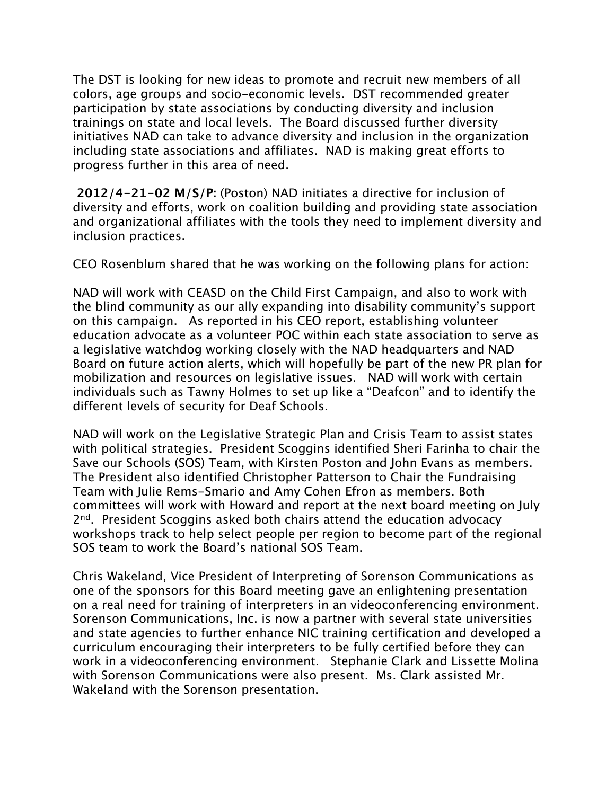The DST is looking for new ideas to promote and recruit new members of all colors, age groups and socio-economic levels. DST recommended greater participation by state associations by conducting diversity and inclusion trainings on state and local levels. The Board discussed further diversity initiatives NAD can take to advance diversity and inclusion in the organization including state associations and affiliates. NAD is making great efforts to progress further in this area of need.

**2012/4-21-02 M/S/P:** (Poston) NAD initiates a directive for inclusion of diversity and efforts, work on coalition building and providing state association and organizational affiliates with the tools they need to implement diversity and inclusion practices.

CEO Rosenblum shared that he was working on the following plans for action:

NAD will work with CEASD on the Child First Campaign, and also to work with the blind community as our ally expanding into disability community's support on this campaign. As reported in his CEO report, establishing volunteer education advocate as a volunteer POC within each state association to serve as a legislative watchdog working closely with the NAD headquarters and NAD Board on future action alerts, which will hopefully be part of the new PR plan for mobilization and resources on legislative issues. NAD will work with certain individuals such as Tawny Holmes to set up like a "Deafcon" and to identify the different levels of security for Deaf Schools.

NAD will work on the Legislative Strategic Plan and Crisis Team to assist states with political strategies. President Scoggins identified Sheri Farinha to chair the Save our Schools (SOS) Team, with Kirsten Poston and John Evans as members. The President also identified Christopher Patterson to Chair the Fundraising Team with Julie Rems-Smario and Amy Cohen Efron as members. Both committees will work with Howard and report at the next board meeting on July 2<sup>nd</sup>. President Scoggins asked both chairs attend the education advocacy workshops track to help select people per region to become part of the regional SOS team to work the Board's national SOS Team.

Chris Wakeland, Vice President of Interpreting of Sorenson Communications as one of the sponsors for this Board meeting gave an enlightening presentation on a real need for training of interpreters in an videoconferencing environment. Sorenson Communications, Inc. is now a partner with several state universities and state agencies to further enhance NIC training certification and developed a curriculum encouraging their interpreters to be fully certified before they can work in a videoconferencing environment. Stephanie Clark and Lissette Molina with Sorenson Communications were also present. Ms. Clark assisted Mr. Wakeland with the Sorenson presentation.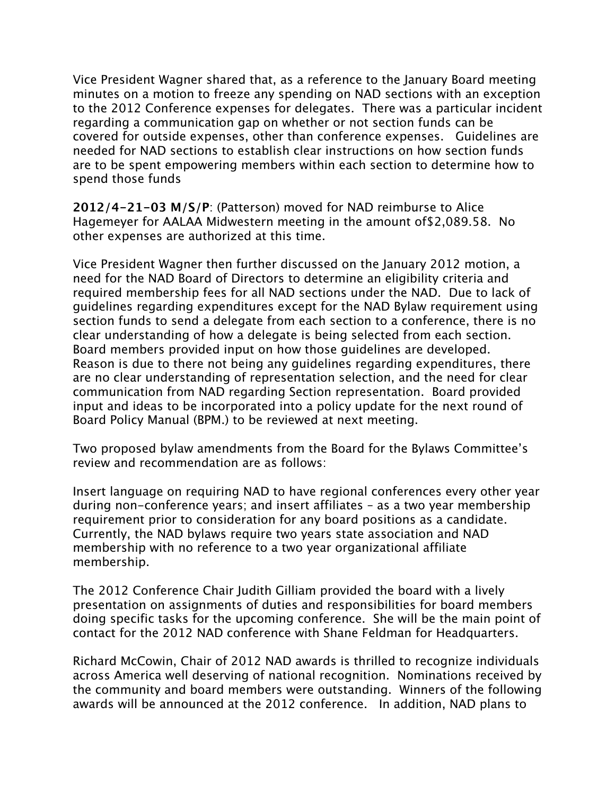Vice President Wagner shared that, as a reference to the January Board meeting minutes on a motion to freeze any spending on NAD sections with an exception to the 2012 Conference expenses for delegates. There was a particular incident regarding a communication gap on whether or not section funds can be covered for outside expenses, other than conference expenses. Guidelines are needed for NAD sections to establish clear instructions on how section funds are to be spent empowering members within each section to determine how to spend those funds

**2012/4-21-03 M/S/P**: (Patterson) moved for NAD reimburse to Alice Hagemeyer for AALAA Midwestern meeting in the amount of\$2,089.58. No other expenses are authorized at this time.

Vice President Wagner then further discussed on the January 2012 motion, a need for the NAD Board of Directors to determine an eligibility criteria and required membership fees for all NAD sections under the NAD. Due to lack of guidelines regarding expenditures except for the NAD Bylaw requirement using section funds to send a delegate from each section to a conference, there is no clear understanding of how a delegate is being selected from each section. Board members provided input on how those guidelines are developed. Reason is due to there not being any guidelines regarding expenditures, there are no clear understanding of representation selection, and the need for clear communication from NAD regarding Section representation. Board provided input and ideas to be incorporated into a policy update for the next round of Board Policy Manual (BPM.) to be reviewed at next meeting.

Two proposed bylaw amendments from the Board for the Bylaws Committee's review and recommendation are as follows:

Insert language on requiring NAD to have regional conferences every other year during non-conference years; and insert affiliates – as a two year membership requirement prior to consideration for any board positions as a candidate. Currently, the NAD bylaws require two years state association and NAD membership with no reference to a two year organizational affiliate membership.

The 2012 Conference Chair Judith Gilliam provided the board with a lively presentation on assignments of duties and responsibilities for board members doing specific tasks for the upcoming conference. She will be the main point of contact for the 2012 NAD conference with Shane Feldman for Headquarters.

Richard McCowin, Chair of 2012 NAD awards is thrilled to recognize individuals across America well deserving of national recognition. Nominations received by the community and board members were outstanding. Winners of the following awards will be announced at the 2012 conference. In addition, NAD plans to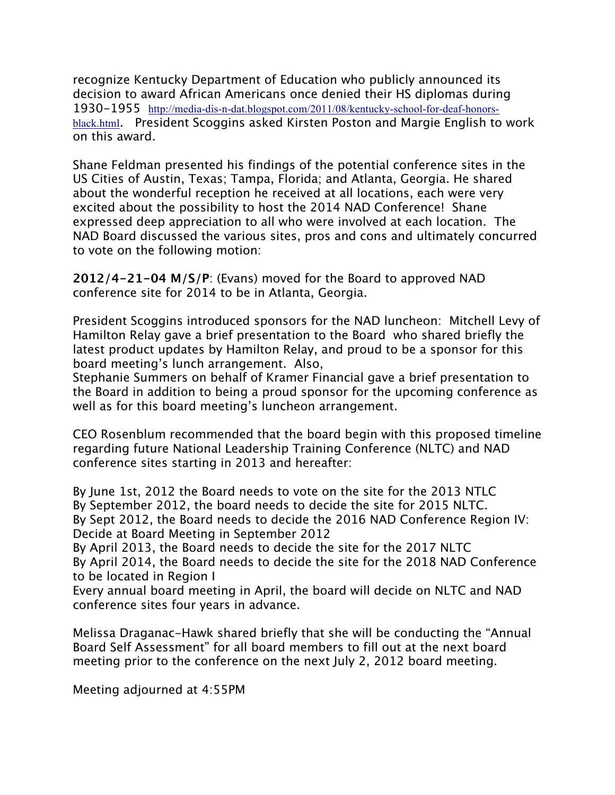recognize Kentucky Department of Education who publicly announced its decision to award African Americans once denied their HS diplomas during 1930-1955 http://media-dis-n-dat.blogspot.com/2011/08/kentucky-school-for-deaf-honorsblack.html. President Scoggins asked Kirsten Poston and Margie English to work on this award.

Shane Feldman presented his findings of the potential conference sites in the US Cities of Austin, Texas; Tampa, Florida; and Atlanta, Georgia. He shared about the wonderful reception he received at all locations, each were very excited about the possibility to host the 2014 NAD Conference! Shane expressed deep appreciation to all who were involved at each location. The NAD Board discussed the various sites, pros and cons and ultimately concurred to vote on the following motion:

**2012/4-21-04 M/S/P**: (Evans) moved for the Board to approved NAD conference site for 2014 to be in Atlanta, Georgia.

President Scoggins introduced sponsors for the NAD luncheon: Mitchell Levy of Hamilton Relay gave a brief presentation to the Board who shared briefly the latest product updates by Hamilton Relay, and proud to be a sponsor for this board meeting's lunch arrangement. Also,

Stephanie Summers on behalf of Kramer Financial gave a brief presentation to the Board in addition to being a proud sponsor for the upcoming conference as well as for this board meeting's luncheon arrangement.

CEO Rosenblum recommended that the board begin with this proposed timeline regarding future National Leadership Training Conference (NLTC) and NAD conference sites starting in 2013 and hereafter:

By June 1st, 2012 the Board needs to vote on the site for the 2013 NTLC By September 2012, the board needs to decide the site for 2015 NLTC. By Sept 2012, the Board needs to decide the 2016 NAD Conference Region IV: Decide at Board Meeting in September 2012

By April 2013, the Board needs to decide the site for the 2017 NLTC By April 2014, the Board needs to decide the site for the 2018 NAD Conference to be located in Region I

Every annual board meeting in April, the board will decide on NLTC and NAD conference sites four years in advance.

Melissa Draganac-Hawk shared briefly that she will be conducting the "Annual Board Self Assessment" for all board members to fill out at the next board meeting prior to the conference on the next July 2, 2012 board meeting.

Meeting adjourned at 4:55PM